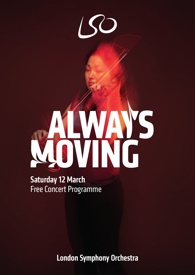# Ï.

# Saturday 12 March Free Concert Programme

**London Symphony Orchestra**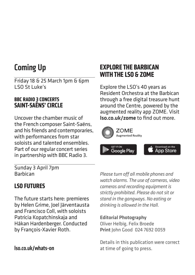# Coming Up

Friday 18 & 25 March 1pm & 6pm LSO St Luke's

#### **BBC RADIO 3 CONCERTS SAINT-SAËNS' CIRCLE**

Uncover the chamber music of the French composer Saint-Saëns, and his friends and contemporaries, with performances from star soloists and talented ensembles. Part of our regular concert series in partnership with BBC Radio 3.

#### **EXPLORE THE BARBICAN WITH THE LSO & ZOME**

Explore the LSO's 40 years as Resident Orchestra at the Barbican through a free digital treasure hunt around the Centre, powered by the augmented reality app ZOME. Visit lso.co.uk/zome to find out more.



Sunday 3 April 7pm Barbican

#### **LSO FUTURES**

The future starts here: premieres by Helen Grime, Joel Järventausta and Francisco Coll, with soloists Patricia Kopatchinskaja and Håkan Hardenberger. Conducted by François-Xavier Roth.

*Please turn off all mobile phones and watch alarms. The use of cameras, video cameras and recording equipment is strictly prohibited. Please do not sit or stand in the gangways. No eating or drinking is allowed in the Hall.* 

Editorial Photography Oliver Helbig, Felix Broede Print John Good 024 7692 0059

Details in this publication were correct at time of going to press.

lso.co.uk/whats-on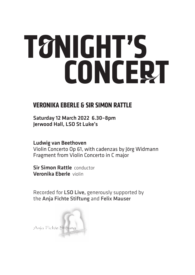# **TONIGHT'S CONCERT**

#### **VERONIKA EBERLE & SIR SIMON RATTLE**

Saturday 12 March 2022 6.30–8pm Jerwood Hall, LSO St Luke's

Ludwig van Beethoven Violin Concerto Op 61, with cadenzas by Jörg Widmann Fragment from Violin Concerto in C major

Sir Simon Rattle conductor Veronika Eberle violin

Recorded for LSO Live, generously supported by the Anja Fichte Stiftung and Felix Mauser

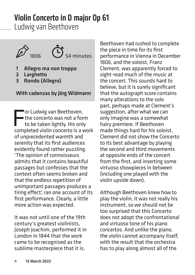# Violin Concerto in D major Op 61

Ludwig van Beethoven





- 1 Allegro ma non troppo
- 2 Larghetto
- 3 Rondo (Allegro)

#### With cadenzas by Jörg Widmann

Figure 1 and the concerto was not a form<br>to be taken lightly. His only<br>completed violin concerto is a work or Ludwig van Beethoven, the concerto was not a form to be taken lightly. His only of unprecedented warmth and serenity that its first audiences evidently found rather puzzling. 'The opinion of connoisseurs admits that it contains beautiful passages but confesses that the context often seems broken and that the endless repetition of unimportant passages produces a tiring effect', ran one account of its first performance. Clearly, a little more action was expected.

It was not until one of the 19th century's greatest violinists, Joseph Joachim, performed it in London in 1844 that the work came to be recognised as the sublime masterpiece that it is.

Beethoven had rushed to complete the piece in time for its first performance in Vienna in December 1806, and the soloist, Franz Clement, was apparently forced to sight-read much of the music at the concert. This sounds hard to believe, but it is surely significant that the autograph score contains many alterations to the solo part, perhaps made at Clement's suggestion, after what we can only imagine was a somewhat hairy premiere. If Beethoven made things hard for his soloist, Clement did not show the Concerto to its best advantage by playing the second and third movements at opposite ends of the concert from the first, and inserting some virtuoso showpieces in between (including one played with the violin upside down).

Although Beethoven knew how to play the violin, it was not really his instrument, so we should not be too surprised that this Concerto does not adopt the confrontational and virtuoso tone of his piano concertos. And unlike the piano, the violin cannot accompany itself, with the result that the orchestra has to play along almost all of the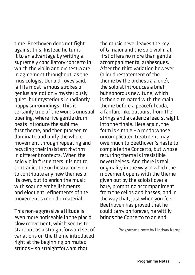time. Beethoven does not fight against this. Instead he turns it to an advantage by writing a supremely conciliatory concerto in which the violin and orchestra are in agreement throughout; as the musicologist Donald Tovey said, 'all its most famous strokes of genius are not only mysteriously quiet, but mysterious in radiantly happy surroundings'. This is certainly true of the work's unusual opening, where five gentle drum beats introduce the sublime first theme, and then proceed to dominate and unify the whole movement through repeating and recycling their insistent rhythm in different contexts. When the solo violin first enters it is not to contradict the orchestra, or even to contribute any new themes of its own, but to enrich the music with soaring embellishments and eloquent refinements of the movement's melodic material.

This non-aggressive attitude is even more noticeable in the placid slow movement, which seems to start out as a straightforward set of variations on the theme introduced right at the beginning on muted strings – so straightforward that

the music never leaves the key of G major and the solo violin at first offers no more than gentle accompanimental arabesques. After the third variation however (a loud restatement of the theme by the orchestra alone), the soloist introduces a brief but sonorous new tune, which is then alternated with the main theme before a peaceful coda, a fanfare-like outburst from the strings and a cadenza lead straight into the finale. Here again, the form is simple – a rondo whose uncomplicated treatment may owe much to Beethoven's haste to complete the Concerto, but whose recurring theme is irresistible nevertheless. And there is real originality in the way in which the movement opens with the theme given out by the soloist over a bare, prompting accompaniment from the cellos and basses, and in the way that, just when you feel Beethoven has proved that he could carry on forever, he wittily brings the Concerto to an end.

Programme note by Lindsay Kemp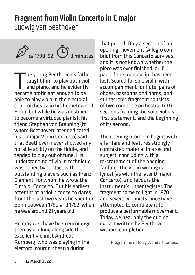# Fragment from Violin Concerto in C major

Ludwig van Beethoven



The young Beethoven's father<br>taught him to play both violing<br>and piano, and he evidently<br>became proficient enough to be taught him to play both violin and piano, and he evidently became proficient enough to be able to play viola in the electoral court orchestra in his hometown of Bonn; but while he was destined to become a virtuoso pianist, his friend Stephan von Breuning (to whom Beethoven later dedicated his D major Violin Concerto) said that Beethoven never showed any notable ability on the fiddle, and tended to play out of tune. His understanding of violin technique was honed by contact with outstanding players such as Franz Clement, for whom he wrote the D major Concerto. But his earliest attempt at a violin concerto dates from the last two years he spent in Bonn between 1790 and 1792, when he was around 21 years old.

He may well have been encouraged then by working alongside the excellent violinist Andreas Romberg, who was playing in the electoral court orchestra during

that period. Only a section of an opening movement (Allegro con brio) from this Concerto survives, and it is not known whether the piece was ever finished, or if part of the manuscript has been lost. Scored for solo violin with accompaniment for flute, pairs of oboes, bassoons and horns, and strings, this fragment consists of two complete orchestral tutti sections framing the solo violin's first statement, and the beginning of its second.

The opening ritornello begins with a fanfare and features strongly contrasted material in a second subject, concluding with a re-statement of the opening fanfare. The violin writing is lyrical (as with the later D major Concerto), and favours the instrument's upper register. The fragment came to light in 1870, and several violinists since have attempted to complete it to produce a performable movement. Today we hear only the original extract written by Beethoven, without completion.

Programme note by Wendy Thompson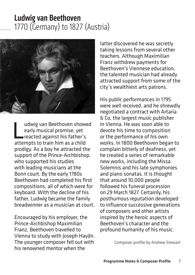# Ludwig van Beethoven 1770 (Germany) to 1827 (Austria)



udwig van Beethoven shower<br>
early musical promise, yet<br>
reacted against his father's<br>
attempts to train him as a child udwig van Beethoven showed early musical promise, yet reacted against his father's prodigy. As a boy he attracted the support of the Prince-Archbishop, who supported his studies with leading musicians at the Bonn court. By the early 1780s Beethoven had completed his first compositions, all of which were for keyboard. With the decline of his father, Ludwig became the family breadwinner as a musician at court.

Encouraged by his employer, the Prince-Archbishop Maximilian Franz, Beethoven travelled to Vienna to study with Joseph Haydn. The younger composer fell out with his renowned mentor when the

latter discovered he was secretly taking lessons from several other teachers. Although Maximilian Franz withdrew payments for Beethoven's Viennese education, the talented musician had already attracted support from some of the city's wealthiest arts patrons.

His public performances in 1795 were well received, and he shrewdly negotiated a contract with Artaria & Co, the largest music publisher in Vienna. He was soon able to devote his time to composition or the performance of his own works. In 1800 Beethoven began to complain bitterly of deafness, yet he created a series of remarkable new works, including the Missa Solemnis and his late symphonies and piano sonatas. It is thought that around 10,000 people followed his funeral procession on 29 March 1827. Certainly, his posthumous reputation developed to influence successive generations of composers and other artists inspired by the heroic aspects of Beethoven's character and the profound humanity of his music.

Composer profile by Andrew Stewart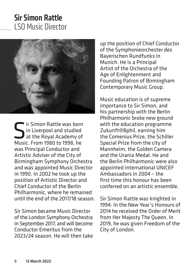# Sir Simon Rattle LSO Music Director



**S** ir Simon Rattle was born<br>at the Royal Academy of<br>Music From 1980 to 1998 he in Liverpool and studied at the Royal Academy of Music. From 1980 to 1998, he was Principal Conductor and Artistic Adviser of the City of Birmingham Symphony Orchestra and was appointed Music Director in 1990. In 2002 he took up the position of Artistic Director and Chief Conductor of the Berlin Philharmonic, where he remained until the end of the 2017/18 season.

Sir Simon became Music Director of the London Symphony Orchestra in September 2017, and will become Conductor Emeritus from the 2023/24 season. He will then take up the position of Chief Conductor of the Symphonieorchester des Bayerischen Rundfunks in Munich. He is a Principal Artist of the Orchestra of the Age of Enlightenment and Founding Patron of Birmingham Contemporary Music Group.

Music education is of supreme importance to Sir Simon, and his partnership with the Berlin Philharmonic broke new ground with the education programme Zukunft@Bphil, earning him the Comenius Prize, the Schiller Special Prize from the city of Mannheim, the Golden Camera and the Urania Medal. He and the Berlin Philharmonic were also appointed International UNICEF Ambassadors in 2004 – the first time this honour has been conferred on an artistic ensemble.

Sir Simon Rattle was knighted in 1994. In the New Year's Honours of 2014 he received the Order of Merit from Her Majesty The Queen. In 2019, he was given Freedom of the City of London.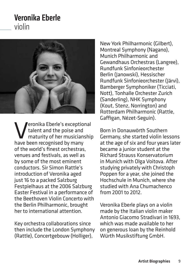### Veronika Eberle violin



Veronika Eberle's exceptional talent and the poise and maturity of her musicianship have been recognised by many of the world's finest orchestras, venues and festivals, as well as by some of the most eminent conductors. Sir Simon Rattle's introduction of Veronika aged just 16 to a packed Salzburg Festpielhaus at the 2006 Salzburg Easter Festival in a performance of the Beethoven Violin Concerto with the Berlin Philharmonic, brought her to international attention.

Key orchestra collaborations since then include the London Symphony (Rattle), Concertgebouw (Holliger),

New York Philharmonic (Gilbert), Montreal Symphony (Nagano), Munich Philharmonic and Gewandhaus Orchestras (Langree), Rundfunk Sinfonieorchester Berlin (Janowski), Hessischer Rundfunk Sinfonieorchester (Järvi), Bamberger Symphoniker (Ticciati, Nott), Tonhalle Orchester Zurich (Sanderling), NHK Symphony (Kout, Stenz, Norrington) and Rotterdam Philharmonic (Rattle, Gaffigan, Nézet-Seguin).

Born in Donauwörth Southern Germany, she started violin lessons at the age of six and four years later became a junior student at the Richard Strauss Konservatorium in Munich with Olga Voitova. After studying privately with Christoph Poppen for a year, she joined the Hochschule in Munich, where she studied with Ana Chumachenco from 2001 to 2012.

Veronika Eberle plays on a violin made by the Italian violin maker Antonio Giacomo Stradivari in 1693, which was made available to her on generous loan by the Reinhold Würth Musikstiftung GmbH.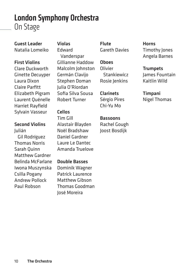## London Symphony Orchestra On Stage

Guest Leader Natalia Lomeiko

#### First Violins

Clare Duckworth Ginette Decuyper Laura Dixon Claire Parfitt Elizabeth Pigram Laurent Quénelle Harriet Rayfield Sylvain Vasseur

#### Second Violins

Julián Gil Rodríguez Thomas Norris Sarah Quinn Matthew Gardner Belinda McFarlane Iwona Muszynska Csilla Pogany Andrew Pollock Paul Robson

#### Violas

Edward Vanderspar Gillianne Haddow Malcolm Johnston Germán Clavijo Stephen Doman Julia O'Riordan Sofia Silva Sousa Robert Turner

#### Cellos

Tim Gill Alastair Blayden Noël Bradshaw Daniel Gardner Laure Le Dantec Amanda Truelove

#### Double Basses

Dominik Wagner Patrick Laurence Matthew Gibson Thomas Goodman José Moreira

Flute Gareth Davies

#### Oboes **Olivier**  Stankiewicz Rosie Ienkins

Clarinets Sérgio Pires Chi-Yu Mo

Bassoons Rachel Gough Joost Bosdijk

Horns Timothy Jones Angela Barnes

#### **Trumpets** James Fountain Kaitlin Wild

Timpani Nigel Thomas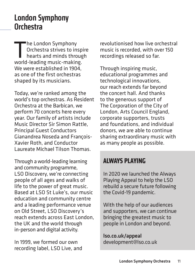# London Symphony **Orchestra**

The London Symphony<br>Orchestra strives to inter-<br>hearts and minds throught-Orchestra strives to inspire hearts and minds through world-leading music-making. We were established in 1904, as one of the first orchestras shaped by its musicians.

Today, we're ranked among the world's top orchestras. As Resident Orchestra at the Barbican, we perform 70 concerts here every year. Our family of artists include Music Director Sir Simon Rattle, Principal Guest Conductors Gianandrea Noseda and François-Xavier Roth, and Conductor Laureate Michael Tilson Thomas.

Through a world-leading learning and community programme, LSO Discovery, we're connecting people of all ages and walks of life to the power of great music. Based at LSO St Luke's, our music education and community centre and a leading performance venue on Old Street, LSO Discovery's reach extends across East London, the UK and the world through in-person and digital activity.

In 1999, we formed our own recording label, LSO Live, and revolutionised how live orchestral music is recorded, with over 150 recordings released so far.

Through inspiring music, educational programmes and technological innovations, our reach extends far beyond the concert hall. And thanks to the generous support of The Corporation of the City of London, Arts Council England, corporate supporters, trusts and foundations, and individual donors, we are able to continue sharing extraordinary music with as many people as possible.

#### **ALWAYS PLAYING**

In 2020 we launched the Always Playing Appeal to help the LSO rebuild a secure future following the Covid-19 pandemic.

With the help of our audiences and supporters, we can continue bringing the greatest music to people in London and beyond.

lso.co.uk/appeal development@lso.co.uk